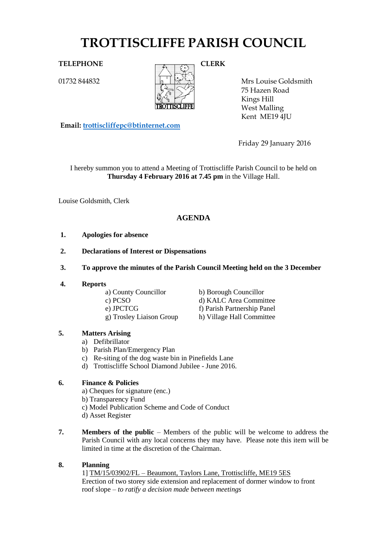# **TROTTISCLIFFE PARISH COUNCIL**

01732 844832



Mrs Louise Goldsmith 75 Hazen Road Kings Hill West Malling Kent ME19 4JU

**Email: [trottiscliffepc@btinternet.com](mailto:trottiscliffepc@btinternet.com)**

Friday 29 January 2016

I hereby summon you to attend a Meeting of Trottiscliffe Parish Council to be held on **Thursday 4 February 2016 at 7.45 pm** in the Village Hall.

Louise Goldsmith, Clerk

## **AGENDA**

- **1. Apologies for absence**
- **2. Declarations of Interest or Dispensations**
- **3. To approve the minutes of the Parish Council Meeting held on the 3 December**
- **4. Reports**

a) County Councillor b) Borough Councillor g) Trosley Liaison Group h) Village Hall Committee

c) PCSO d) KALC Area Committee e) JPCTCG f) Parish Partnership Panel

## **5. Matters Arising**

- a) Defibrillator
- b) Parish Plan/Emergency Plan
- c) Re-siting of the dog waste bin in Pinefields Lane
- d) Trottiscliffe School Diamond Jubilee June 2016.

## **6. Finance & Policies**

- a) Cheques for signature (enc.) b) Transparency Fund c) Model Publication Scheme and Code of Conduct d) Asset Register
- **7. Members of the public** Members of the public will be welcome to address the Parish Council with any local concerns they may have. Please note this item will be limited in time at the discretion of the Chairman.

#### **8. Planning**

1] TM/15/03902/FL – Beaumont, Taylors Lane, Trottiscliffe, ME19 5ES Erection of two storey side extension and replacement of dormer window to front roof slope – *to ratify a decision made between meetings*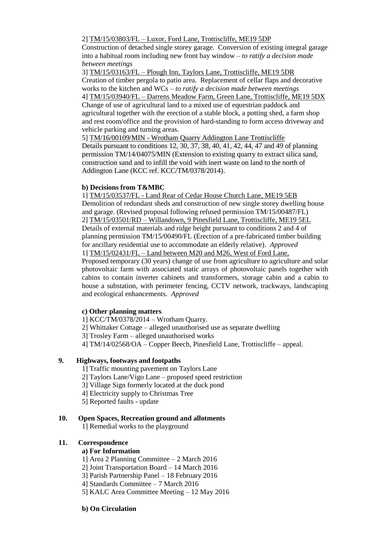2] TM/15/03803/FL – Luxor, Ford Lane, Trottiscliffe, ME19 5DP

Construction of detached single storey garage. Conversion of existing integral garage into a habitual room including new front bay window – *to ratify a decision made between meetings*

3] TM/15/03163/FL – Plough Inn, Taylors Lane, Trottiscliffe, ME19 5DR Creation of timber pergola to patio area. Replacement of cellar flaps and decorative works to the kitchen and WCs – *to ratify a decision made between meetings*

4] TM/15/03940/FL – Darrens Meadow Farm, Green Lane, Trottiscliffe, ME19 5DX Change of use of agricultural land to a mixed use of equestrian paddock and agricultural together with the erection of a stable block, a potting shed, a farm shop and rest room/office and the provision of hard-standing to form access driveway and vehicle parking and turning areas.

5] TM/16/00109/MIN - Wrotham Quarry Addington Lane Trottiscliffe Details pursuant to conditions 12, 30, 37, 38, 40, 41, 42, 44, 47 and 49 of planning permission TM/14/04075/MIN (Extension to existing quarry to extract silica sand, construction sand and to infill the void with inert waste on land to the north of Addington Lane (KCC ref. KCC/TM/0378/2014).

#### **b) Decisions from T&MBC**

1] TM/15/03537/FL - Land Rear of Cedar House Church Lane, ME19 5EB Demolition of redundant sheds and construction of new single storey dwelling house and garage. (Revised proposal following refused permission TM/15/00487/FL) 2] TM/15/03501/RD – Willandown, 9 Pinesfield Lane, Trottiscliffe, ME19 5EL Details of external materials and ridge height pursuant to conditions 2 and 4 of planning permission TM/15/00490/FL (Erection of a pre-fabricated timber building for ancillary residential use to accommodate an elderly relative). *Approved* 1] TM/15/02431/FL – Land between M20 and M26, West of Ford Lane,

Proposed temporary (30 years) change of use from agriculture to agriculture and solar photovoltaic farm with associated static arrays of photovoltaic panels together with cabins to contain inverter cabinets and transformers, storage cabin and a cabin to house a substation, with perimeter fencing, CCTV network, trackways, landscaping and ecological enhancements. *Approved*

#### **c) Other planning matters**

1] KCC/TM/0378/2014 – Wrotham Quarry.

- 2] Whittaker Cottage alleged unauthorised use as separate dwelling
- 3] Trosley Farm alleged unauthorised works
- 4] TM/14/02568/OA Copper Beech, Pinesfield Lane, Trottiscliffe appeal.

#### **9. Highways, footways and footpaths**

- 1] Traffic mounting pavement on Taylors Lane
- 2] Taylors Lane/Vigo Lane proposed speed restriction
- 3] Village Sign formerly located at the duck pond
- 4] Electricity supply to Christmas Tree
- 5] Reported faults update

#### **10. Open Spaces, Recreation ground and allotments**

1] Remedial works to the playground

#### **11. Correspondence**

#### **a) For Information**

- 1] Area 2 Planning Committee 2 March 2016
- 2] Joint Transportation Board 14 March 2016
- 3] Parish Partnership Panel 18 February 2016
- 4] Standards Committee 7 March 2016
- 5] KALC Area Committee Meeting 12 May 2016

#### **b) On Circulation**